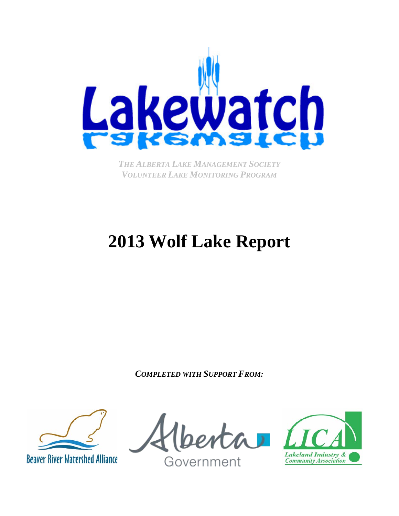

*THE ALBERTA LAKE MANAGEMENT SOCIETY VOLUNTEER LAKE MONITORING PROGRAM*

# **2013 Wolf Lake Report**

*COMPLETED WITH SUPPORT FROM:*



Government

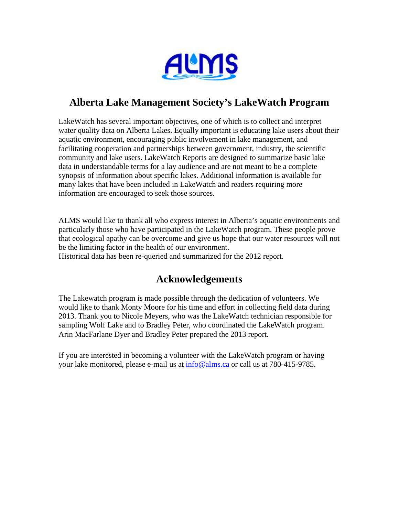

# **Alberta Lake Management Society's LakeWatch Program**

LakeWatch has several important objectives, one of which is to collect and interpret water quality data on Alberta Lakes. Equally important is educating lake users about their aquatic environment, encouraging public involvement in lake management, and facilitating cooperation and partnerships between government, industry, the scientific community and lake users. LakeWatch Reports are designed to summarize basic lake data in understandable terms for a lay audience and are not meant to be a complete synopsis of information about specific lakes. Additional information is available for many lakes that have been included in LakeWatch and readers requiring more information are encouraged to seek those sources.

ALMS would like to thank all who express interest in Alberta's aquatic environments and particularly those who have participated in the LakeWatch program. These people prove that ecological apathy can be overcome and give us hope that our water resources will not be the limiting factor in the health of our environment.

Historical data has been re-queried and summarized for the 2012 report.

## **Acknowledgements**

The Lakewatch program is made possible through the dedication of volunteers. We would like to thank Monty Moore for his time and effort in collecting field data during 2013. Thank you to Nicole Meyers, who was the LakeWatch technician responsible for sampling Wolf Lake and to Bradley Peter, who coordinated the LakeWatch program. Arin MacFarlane Dyer and Bradley Peter prepared the 2013 report.

If you are interested in becoming a volunteer with the LakeWatch program or having your lake monitored, please e-mail us at [info@alms.ca](mailto:info@alms.ca) or call us at 780-415-9785.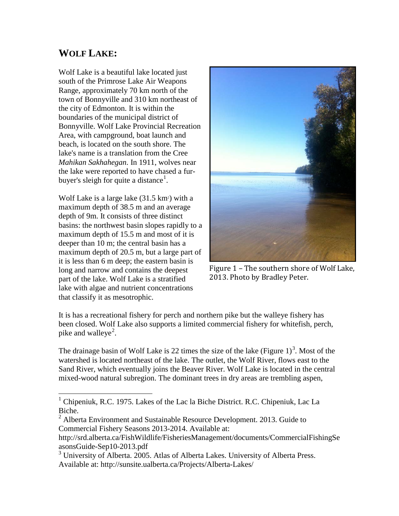### **WOLF LAKE:**

Wolf Lake is a beautiful lake located just south of the Primrose Lake Air Weapons Range, approximately 70 km north of the town of Bonnyville and 310 km northeast of the city of Edmonton. It is within the boundaries of the municipal district of Bonnyville. Wolf Lake Provincial Recreation Area, with campground, boat launch and beach, is located on the south shore. The lake's name is a translation from the Cree *Mahikan Sakhahegan*. In 1911, wolves near the lake were reported to have chased a fur-buyer's sleigh for quite a distance<sup>[1](#page-2-0)</sup>.

Wolf Lake is a large lake  $(31.5 \text{ km}^2)$  with a maximum depth of 38.5 m and an average depth of 9m. It consists of three distinct basins: the northwest basin slopes rapidly to a maximum depth of 15.5 m and most of it is deeper than 10 m; the central basin has a maximum depth of 20.5 m, but a large part of it is less than 6 m deep; the eastern basin is long and narrow and contains the deepest part of the lake. Wolf Lake is a stratified lake with algae and nutrient concentrations that classify it as mesotrophic.



Figure 1 – The southern shore of Wolf Lake, 2013. Photo by Bradley Peter.

It is has a recreational fishery for perch and northern pike but the walleye fishery has been closed. Wolf Lake also supports a limited commercial fishery for whitefish, perch, pike and walleye<sup>[2](#page-2-1)</sup>.

The drainage basin of Wolf Lake is 22 times the size of the lake (Figure  $1$ )<sup>[3](#page-2-2)</sup>. Most of the watershed is located northeast of the lake. The outlet, the Wolf River, flows east to the Sand River, which eventually joins the Beaver River. Wolf Lake is located in the central mixed-wood natural subregion. The dominant trees in dry areas are trembling aspen,

<span id="page-2-0"></span> $1$  Chipeniuk, R.C. 1975. Lakes of the Lac la Biche District. R.C. Chipeniuk, Lac La Biche.  $\overline{1}$ 

<span id="page-2-1"></span> $2$  Alberta Environment and Sustainable Resource Development. 2013. Guide to Commercial Fishery Seasons 2013-2014. Available at:

http://srd.alberta.ca/FishWildlife/FisheriesManagement/documents/CommercialFishingSe asonsGuide-Sep10-2013.pdf

<span id="page-2-2"></span><sup>&</sup>lt;sup>3</sup> University of Alberta. 2005. Atlas of Alberta Lakes. University of Alberta Press. Available at: http://sunsite.ualberta.ca/Projects/Alberta-Lakes/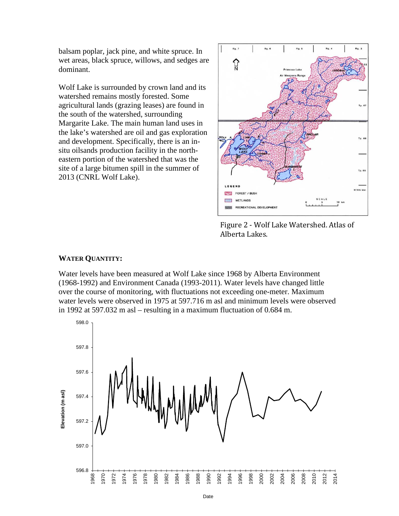balsam poplar, jack pine, and white spruce. In wet areas, black spruce, willows, and sedges are dominant.

Wolf Lake is surrounded by crown land and its watershed remains mostly forested. Some agricultural lands (grazing leases) are found in the south of the watershed, surrounding Margarite Lake. The main human land uses in the lake's watershed are oil and gas exploration and development. Specifically, there is an insitu oilsands production facility in the northeastern portion of the watershed that was the site of a large bitumen spill in the summer of 2013 (CNRL Wolf Lake).



Figure 2 - Wolf Lake Watershed. Atlas of Alberta Lakes.

### **WATER QUANTITY:**

Water levels have been measured at Wolf Lake since 1968 by Alberta Environment (1968-1992) and Environment Canada (1993-2011). Water levels have changed little over the course of monitoring, with fluctuations not exceeding one-meter. Maximum water levels were observed in 1975 at 597.716 m asl and minimum levels were observed in 1992 at 597.032 m asl – resulting in a maximum fluctuation of 0.684 m.

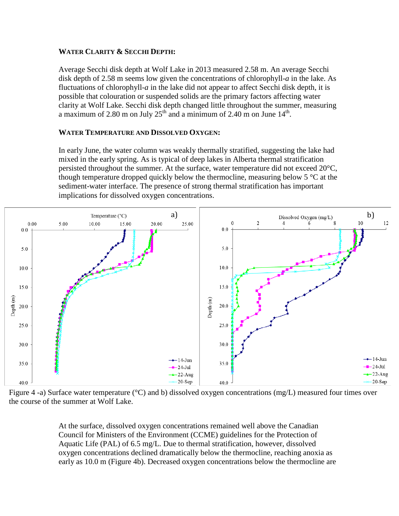### **WATER CLARITY & SECCHI DEPTH:**

Average Secchi disk depth at Wolf Lake in 2013 measured 2.58 m. An average Secchi disk depth of 2.58 m seems low given the concentrations of chlorophyll-*a* in the lake. As fluctuations of chlorophyll-*a* in the lake did not appear to affect Secchi disk depth, it is possible that colouration or suspended solids are the primary factors affecting water clarity at Wolf Lake. Secchi disk depth changed little throughout the summer, measuring a maximum of 2.80 m on July  $25<sup>th</sup>$  and a minimum of 2.40 m on June 14<sup>th</sup>.

### **WATER TEMPERATURE AND DISSOLVED OXYGEN:**

In early June, the water column was weakly thermally stratified, suggesting the lake had mixed in the early spring. As is typical of deep lakes in Alberta thermal stratification persisted throughout the summer. At the surface, water temperature did not exceed 20°C, though temperature dropped quickly below the thermocline, measuring below  $5^{\circ}$ C at the sediment-water interface. The presence of strong thermal stratification has important implications for dissolved oxygen concentrations.



Figure 4 -a) Surface water temperature (°C) and b) dissolved oxygen concentrations (mg/L) measured four times over the course of the summer at Wolf Lake.

At the surface, dissolved oxygen concentrations remained well above the Canadian Council for Ministers of the Environment (CCME) guidelines for the Protection of Aquatic Life (PAL) of 6.5 mg/L. Due to thermal stratification, however, dissolved oxygen concentrations declined dramatically below the thermocline, reaching anoxia as early as 10.0 m (Figure 4b). Decreased oxygen concentrations below the thermocline are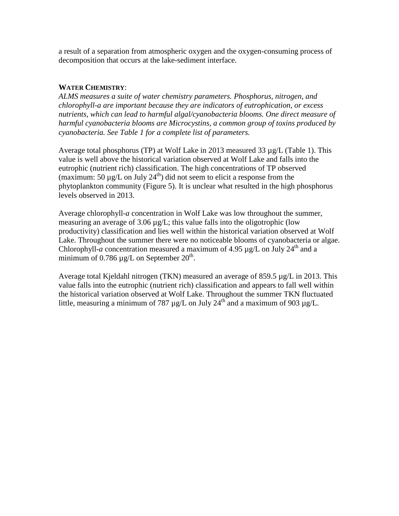a result of a separation from atmospheric oxygen and the oxygen-consuming process of decomposition that occurs at the lake-sediment interface.

### **WATER CHEMISTRY**:

*ALMS measures a suite of water chemistry parameters. Phosphorus, nitrogen, and chlorophyll-a are important because they are indicators of eutrophication, or excess*  nutrients, which can lead to harmful algal/cyanobacteria blooms. One direct measure of *harmful cyanobacteria blooms are Microcystins, a common group of toxins produced by cyanobacteria. See Table 1 for a complete list of parameters.*

Average total phosphorus (TP) at Wolf Lake in 2013 measured 33 µg/L (Table 1). This value is well above the historical variation observed at Wolf Lake and falls into the eutrophic (nutrient rich) classification. The high concentrations of TP observed (maximum: 50  $\mu$ g/L on July 24<sup>th</sup>) did not seem to elicit a response from the phytoplankton community (Figure 5). It is unclear what resulted in the high phosphorus levels observed in 2013.

Average chlorophyll-*a* concentration in Wolf Lake was low throughout the summer, measuring an average of 3.06 µg/L; this value falls into the oligotrophic (low productivity) classification and lies well within the historical variation observed at Wolf Lake. Throughout the summer there were no noticeable blooms of cyanobacteria or algae. Chlorophyll-*a* concentration measured a maximum of 4.95  $\mu$ g/L on July 24<sup>th</sup> and a minimum of 0.786  $\mu$ g/L on September 20<sup>th</sup>.

Average total Kjeldahl nitrogen (TKN) measured an average of 859.5 µg/L in 2013. This value falls into the eutrophic (nutrient rich) classification and appears to fall well within the historical variation observed at Wolf Lake. Throughout the summer TKN fluctuated little, measuring a minimum of 787  $\mu$ g/L on July 24<sup>th</sup> and a maximum of 903  $\mu$ g/L.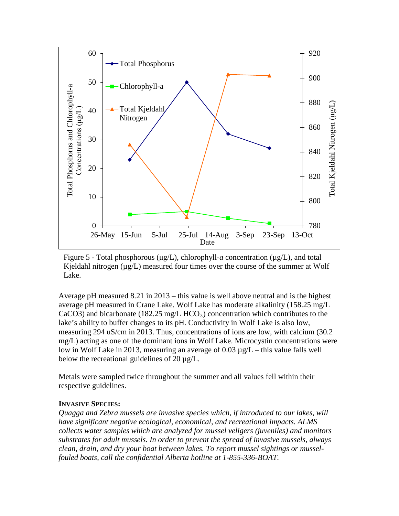

Figure 5 - Total phosphorous (μg/L), chlorophyll-*a* concentration (µg/L), and total Kjeldahl nitrogen  $(\mu g/L)$  measured four times over the course of the summer at Wolf Lake.

Average pH measured 8.21 in 2013 – this value is well above neutral and is the highest average pH measured in Crane Lake. Wolf Lake has moderate alkalinity (158.25 mg/L CaCO3) and bicarbonate (182.25 mg/L HCO<sub>3</sub>) concentration which contributes to the lake's ability to buffer changes to its pH. Conductivity in Wolf Lake is also low, measuring 294 uS/cm in 2013. Thus, concentrations of ions are low, with calcium (30.2 mg/L) acting as one of the dominant ions in Wolf Lake. Microcystin concentrations were low in Wolf Lake in 2013, measuring an average of 0.03 µg/L – this value falls well below the recreational guidelines of 20  $\mu$ g/L.

Metals were sampled twice throughout the summer and all values fell within their respective guidelines.

### **INVASIVE SPECIES:**

*Quagga and Zebra mussels are invasive species which, if introduced to our lakes, will have significant negative ecological, economical, and recreational impacts. ALMS collects water samples which are analyzed for mussel veligers (juveniles) and monitors substrates for adult mussels. In order to prevent the spread of invasive mussels, always clean, drain, and dry your boat between lakes. To report mussel sightings or musselfouled boats, call the confidential Alberta hotline at 1-855-336-BOAT.*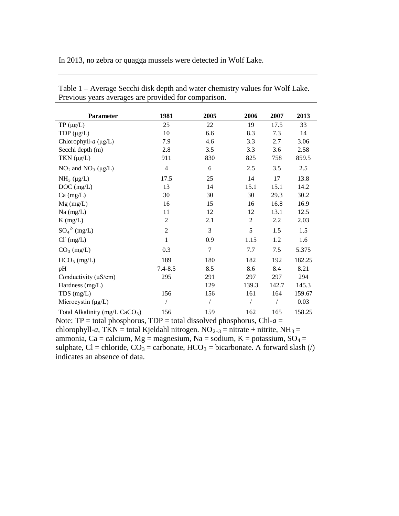In 2013, no zebra or quagga mussels were detected in Wolf Lake.

| <b>Parameter</b>                           | 1981           | 2005       | 2006           | 2007  | 2013   |
|--------------------------------------------|----------------|------------|----------------|-------|--------|
| $TP(\mu g/L)$                              | 25             | 22         | 19             | 17.5  | 33     |
| TDP $(\mu g/L)$                            | 10             | 6.6        | 8.3            | 7.3   | 14     |
| Chlorophyll- $a$ ( $\mu$ g/L)              | 7.9            | 4.6        | 3.3            | 2.7   | 3.06   |
| Secchi depth (m)                           | 2.8            | 3.5        | 3.3            | 3.6   | 2.58   |
| TKN $(\mu g/L)$                            | 911            | 830        | 825            | 758   | 859.5  |
| $NO2$ and $NO3$ (µg/L)                     | $\overline{4}$ | 6          | 2.5            | 3.5   | 2.5    |
| $NH_3$ (µg/L)                              | 17.5           | 25         | 14             | 17    | 13.8   |
| DOC (mg/L)                                 | 13             | 14         | 15.1           | 15.1  | 14.2   |
| $Ca \, (mg/L)$                             | 30             | 30         | 30             | 29.3  | 30.2   |
| $Mg$ (mg/L)                                | 16             | 15         | 16             | 16.8  | 16.9   |
| $Na$ (mg/L)                                | 11             | 12         | 12             | 13.1  | 12.5   |
| $K$ (mg/L)                                 | $\overline{2}$ | 2.1        | $\overline{2}$ | 2.2   | 2.03   |
| $SO_4^2$ (mg/L)                            | $\overline{2}$ | 3          | 5              | 1.5   | 1.5    |
| $Cl^-(mg/L)$                               | $\mathbf{1}$   | 0.9        | 1.15           | 1.2   | 1.6    |
| $CO3$ (mg/L)                               | 0.3            | 7          | 7.7            | 7.5   | 5.375  |
| $HCO3$ (mg/L)                              | 189            | 180        | 182            | 192   | 182.25 |
| pH                                         | $7.4 - 8.5$    | 8.5        | 8.6            | 8.4   | 8.21   |
| Conductivity $(\mu S/cm)$                  | 295            | 291        | 297            | 297   | 294    |
| Hardness (mg/L)                            |                | 129        | 139.3          | 142.7 | 145.3  |
| $TDS$ (mg/L)                               | 156            | 156        | 161            | 164   | 159.67 |
| Microcystin (µg/L)                         |                | $\sqrt{2}$ | $\sqrt{2}$     |       | 0.03   |
| Total Alkalinity (mg/L CaCO <sub>3</sub> ) | 156            | 159        | 162            | 165   | 158.25 |

Table 1 – Average Secchi disk depth and water chemistry values for Wolf Lake. Previous years averages are provided for comparison.

Note: TP = total phosphorus, TDP = total dissolved phosphorus, Chl- $a$  = chlorophyll-*a*, TKN = total Kjeldahl nitrogen. NO<sub>2+3</sub> = nitrate + nitrite, NH<sub>3</sub> = ammonia, Ca = calcium, Mg = magnesium, Na = sodium, K = potassium,  $SO_4$  = sulphate, Cl = chloride,  $CO_3$  = carbonate, HCO<sub>3</sub> = bicarbonate. A forward slash (/) indicates an absence of data.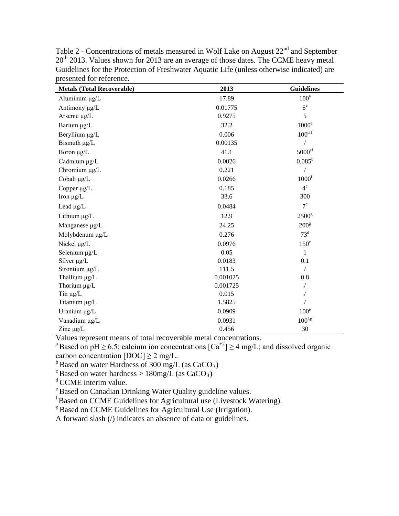| <b>Metals (Total Recoverable)</b> | 2013     | <b>Guidelines</b>    |  |
|-----------------------------------|----------|----------------------|--|
| Aluminum µg/L                     | 17.89    | $100^a$              |  |
| Antimony µg/L                     | 0.01775  | 6 <sup>e</sup>       |  |
| Arsenic µg/L                      | 0.9275   | 5                    |  |
| Barium µg/L                       | 32.2     | $1000^e$             |  |
| Beryllium µg/L                    | 0.006    | $100^{\mathrm{d,f}}$ |  |
| Bismuth $\mu$ g/L                 | 0.00135  |                      |  |
| Boron $\mu$ g/L                   | 41.1     | 5000 <sup>ef</sup>   |  |
| Cadmium µg/L                      | 0.0026   | $0.085^{\rm b}$      |  |
| Chromium µg/L                     | 0.221    |                      |  |
| Cobalt $\mu$ g/L                  | 0.0266   | 1000 <sup>f</sup>    |  |
| Copper µg/L                       | 0.185    | $4^{\circ}$          |  |
| Iron $\mu$ g/L                    | 33.6     | 300                  |  |
| Lead $\mu$ g/L                    | 0.0484   | $7^{\circ}$          |  |
| Lithium µg/L                      | 12.9     | 2500 <sup>g</sup>    |  |
| Manganese µg/L                    | 24.25    | $200^{\text{g}}$     |  |
| Molybdenum µg/L                   | 0.276    | $73^d$               |  |
| Nickel µg/L                       | 0.0976   | $150^\circ$          |  |
| Selenium µg/L                     | 0.05     | $\mathbf{1}$         |  |
| Silver $\mu$ g/L                  | 0.0183   | 0.1                  |  |
| Strontium µg/L                    | 111.5    | /                    |  |
| Thallium µg/L                     | 0.001025 | 0.8                  |  |
| Thorium µg/L                      | 0.001725 | $\sqrt{2}$           |  |
| Tin $\mu$ g/L                     | 0.015    |                      |  |
| Titanium µg/L                     | 1.5825   |                      |  |
| Uranium µg/L                      | 0.0909   | 100 <sup>e</sup>     |  |
| Vanadium µg/L                     | 0.0931   | $100$ f,g            |  |
| Zinc $\mu$ g/L                    | 0.456    | 30                   |  |

Table 2 - Concentrations of metals measured in Wolf Lake on August 22<sup>nd</sup> and September 20<sup>th</sup> 2013. Values shown for 2013 are an average of those dates. The CCME heavy metal Guidelines for the Protection of Freshwater Aquatic Life (unless otherwise indicated) are presented for reference.

Values represent means of total recoverable metal concentrations.

<sup>a</sup>Based on pH  $\geq$  6.5; calcium ion concentrations  $\lfloor Ca^{+2} \rfloor \geq 4$  mg/L; and dissolved organic carbon concentration  $[DOC] \ge 2$  mg/L.

<sup>b</sup> Based on water Hardness of 300 mg/L (as CaCO<sub>3</sub>)<sup>c</sup> Based on water hardness > 180mg/L (as CaCO<sub>3</sub>)<sup>c</sup>

<sup>d</sup> CCME interim value.

e Based on Canadian Drinking Water Quality guideline values.

f Based on CCME Guidelines for Agricultural use (Livestock Watering).

<sup>g</sup> Based on CCME Guidelines for Agricultural Use (Irrigation).

A forward slash (/) indicates an absence of data or guidelines.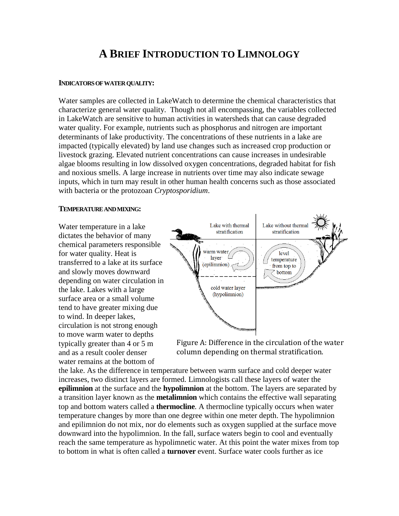# **A BRIEF INTRODUCTION TO LIMNOLOGY**

### **INDICATORS OF WATER QUALITY:**

Water samples are collected in LakeWatch to determine the chemical characteristics that characterize general water quality. Though not all encompassing, the variables collected in LakeWatch are sensitive to human activities in watersheds that can cause degraded water quality. For example, nutrients such as phosphorus and nitrogen are important determinants of lake productivity. The concentrations of these nutrients in a lake are impacted (typically elevated) by land use changes such as increased crop production or livestock grazing. Elevated nutrient concentrations can cause increases in undesirable algae blooms resulting in low dissolved oxygen concentrations, degraded habitat for fish and noxious smells. A large increase in nutrients over time may also indicate sewage inputs, which in turn may result in other human health concerns such as those associated with bacteria or the protozoan *Cryptosporidium*.

#### **TEMPERATURE AND MIXING:**

Water temperature in a lake dictates the behavior of many chemical parameters responsible for water quality. Heat is transferred to a lake at its surface and slowly moves downward depending on water circulation in the lake. Lakes with a large surface area or a small volume tend to have greater mixing due to wind. In deeper lakes, circulation is not strong enough to move warm water to depths typically greater than 4 or 5 m and as a result cooler denser water remains at the bottom of



Figure A: Difference in the circulation of the water column depending on thermal stratification.

the lake. As the difference in temperature between warm surface and cold deeper water increases, two distinct layers are formed. Limnologists call these layers of water the **epilimnion** at the surface and the **hypolimnion** at the bottom. The layers are separated by a transition layer known as the **metalimnion** which contains the effective wall separating top and bottom waters called a **thermocline**. A thermocline typically occurs when water temperature changes by more than one degree within one meter depth. The hypolimnion and epilimnion do not mix, nor do elements such as oxygen supplied at the surface move downward into the hypolimnion. In the fall, surface waters begin to cool and eventually reach the same temperature as hypolimnetic water. At this point the water mixes from top to bottom in what is often called a **turnover** event. Surface water cools further as ice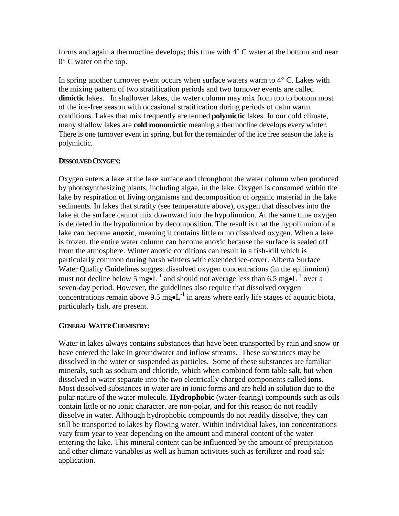forms and again a thermocline develops; this time with  $4^{\circ}$  C water at the bottom and near 0° C water on the top.

In spring another turnover event occurs when surface waters warm to  $4^{\circ}$  C. Lakes with the mixing pattern of two stratification periods and two turnover events are called **dimictic** lakes. In shallower lakes, the water column may mix from top to bottom most of the ice-free season with occasional stratification during periods of calm warm conditions. Lakes that mix frequently are termed **polymictic** lakes. In our cold climate, many shallow lakes are **cold monomictic** meaning a thermocline develops every winter. There is one turnover event in spring, but for the remainder of the ice free season the lake is polymictic.

### **DISSOLVED OXYGEN:**

Oxygen enters a lake at the lake surface and throughout the water column when produced by photosynthesizing plants, including algae, in the lake. Oxygen is consumed within the lake by respiration of living organisms and decomposition of organic material in the lake sediments. In lakes that stratify (see temperature above), oxygen that dissolves into the lake at the surface cannot mix downward into the hypolimnion. At the same time oxygen is depleted in the hypolimnion by decomposition. The result is that the hypolimnion of a lake can become **anoxic**, meaning it contains little or no dissolved oxygen. When a lake is frozen, the entire water column can become anoxic because the surface is sealed off from the atmosphere. Winter anoxic conditions can result in a fish-kill which is particularly common during harsh winters with extended ice-cover. Alberta Surface Water Quality Guidelines suggest dissolved oxygen concentrations (in the epilimnion) must not decline below 5 mg $\bullet L^{-1}$  and should not average less than 6.5 mg $\bullet L^{-1}$  over a seven-day period. However, the guidelines also require that dissolved oxygen concentrations remain above 9.5 mg• $L^{-1}$  in areas where early life stages of aquatic biota, particularly fish, are present.

### **GENERAL WATER CHEMISTRY:**

Water in lakes always contains substances that have been transported by rain and snow or have entered the lake in groundwater and inflow streams. These substances may be dissolved in the water or suspended as particles. Some of these substances are familiar minerals, such as sodium and chloride, which when combined form table salt, but when dissolved in water separate into the two electrically charged components called **ions**. Most dissolved substances in water are in ionic forms and are held in solution due to the polar nature of the water molecule. **Hydrophobic** (water-fearing) compounds such as oils contain little or no ionic character, are non-polar, and for this reason do not readily dissolve in water. Although hydrophobic compounds do not readily dissolve, they can still be transported to lakes by flowing water. Within individual lakes, ion concentrations vary from year to year depending on the amount and mineral content of the water entering the lake. This mineral content can be influenced by the amount of precipitation and other climate variables as well as human activities such as fertilizer and road salt application.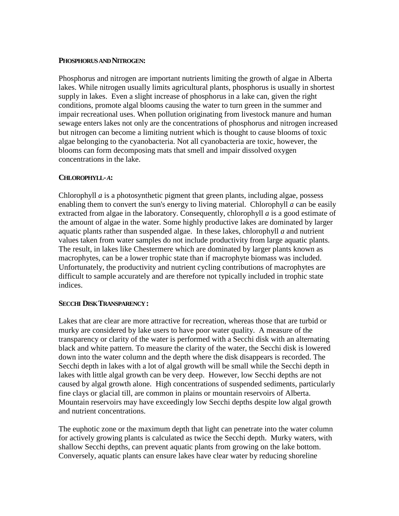### **PHOSPHORUS AND NITROGEN:**

Phosphorus and nitrogen are important nutrients limiting the growth of algae in Alberta lakes. While nitrogen usually limits agricultural plants, phosphorus is usually in shortest supply in lakes. Even a slight increase of phosphorus in a lake can, given the right conditions, promote algal blooms causing the water to turn green in the summer and impair recreational uses. When pollution originating from livestock manure and human sewage enters lakes not only are the concentrations of phosphorus and nitrogen increased but nitrogen can become a limiting nutrient which is thought to cause blooms of toxic algae belonging to the cyanobacteria. Not all cyanobacteria are toxic, however, the blooms can form decomposing mats that smell and impair dissolved oxygen concentrations in the lake.

### **CHLOROPHYLL-***A***:**

Chlorophyll *a* is a photosynthetic pigment that green plants, including algae, possess enabling them to convert the sun's energy to living material. Chlorophyll *a* can be easily extracted from algae in the laboratory. Consequently, chlorophyll *a* is a good estimate of the amount of algae in the water. Some highly productive lakes are dominated by larger aquatic plants rather than suspended algae. In these lakes, chlorophyll *a* and nutrient values taken from water samples do not include productivity from large aquatic plants. The result, in lakes like Chestermere which are dominated by larger plants known as macrophytes, can be a lower trophic state than if macrophyte biomass was included. Unfortunately, the productivity and nutrient cycling contributions of macrophytes are difficult to sample accurately and are therefore not typically included in trophic state indices.

### **SECCHI DISK TRANSPARENCY :**

Lakes that are clear are more attractive for recreation, whereas those that are turbid or murky are considered by lake users to have poor water quality. A measure of the transparency or clarity of the water is performed with a Secchi disk with an alternating black and white pattern. To measure the clarity of the water, the Secchi disk is lowered down into the water column and the depth where the disk disappears is recorded. The Secchi depth in lakes with a lot of algal growth will be small while the Secchi depth in lakes with little algal growth can be very deep. However, low Secchi depths are not caused by algal growth alone. High concentrations of suspended sediments, particularly fine clays or glacial till, are common in plains or mountain reservoirs of Alberta. Mountain reservoirs may have exceedingly low Secchi depths despite low algal growth and nutrient concentrations.

The euphotic zone or the maximum depth that light can penetrate into the water column for actively growing plants is calculated as twice the Secchi depth. Murky waters, with shallow Secchi depths, can prevent aquatic plants from growing on the lake bottom. Conversely, aquatic plants can ensure lakes have clear water by reducing shoreline